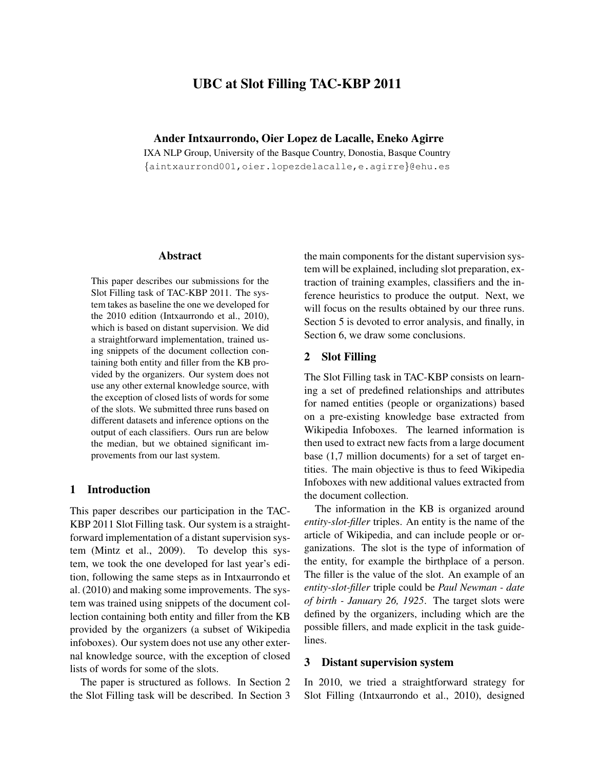# UBC at Slot Filling TAC-KBP 2011

Ander Intxaurrondo, Oier Lopez de Lacalle, Eneko Agirre

IXA NLP Group, University of the Basque Country, Donostia, Basque Country {aintxaurrond001,oier.lopezdelacalle,e.agirre}@ehu.es

#### Abstract

This paper describes our submissions for the Slot Filling task of TAC-KBP 2011. The system takes as baseline the one we developed for the 2010 edition (Intxaurrondo et al., 2010), which is based on distant supervision. We did a straightforward implementation, trained using snippets of the document collection containing both entity and filler from the KB provided by the organizers. Our system does not use any other external knowledge source, with the exception of closed lists of words for some of the slots. We submitted three runs based on different datasets and inference options on the output of each classifiers. Ours run are below the median, but we obtained significant improvements from our last system.

#### 1 Introduction

This paper describes our participation in the TAC-KBP 2011 Slot Filling task. Our system is a straightforward implementation of a distant supervision system (Mintz et al., 2009). To develop this system, we took the one developed for last year's edition, following the same steps as in Intxaurrondo et al. (2010) and making some improvements. The system was trained using snippets of the document collection containing both entity and filler from the KB provided by the organizers (a subset of Wikipedia infoboxes). Our system does not use any other external knowledge source, with the exception of closed lists of words for some of the slots.

The paper is structured as follows. In Section 2 the Slot Filling task will be described. In Section 3 the main components for the distant supervision system will be explained, including slot preparation, extraction of training examples, classifiers and the inference heuristics to produce the output. Next, we will focus on the results obtained by our three runs. Section 5 is devoted to error analysis, and finally, in Section 6, we draw some conclusions.

### 2 Slot Filling

The Slot Filling task in TAC-KBP consists on learning a set of predefined relationships and attributes for named entities (people or organizations) based on a pre-existing knowledge base extracted from Wikipedia Infoboxes. The learned information is then used to extract new facts from a large document base (1,7 million documents) for a set of target entities. The main objective is thus to feed Wikipedia Infoboxes with new additional values extracted from the document collection.

The information in the KB is organized around *entity-slot-filler* triples. An entity is the name of the article of Wikipedia, and can include people or organizations. The slot is the type of information of the entity, for example the birthplace of a person. The filler is the value of the slot. An example of an *entity-slot-filler* triple could be *Paul Newman - date of birth - January 26, 1925*. The target slots were defined by the organizers, including which are the possible fillers, and made explicit in the task guidelines.

### 3 Distant supervision system

In 2010, we tried a straightforward strategy for Slot Filling (Intxaurrondo et al., 2010), designed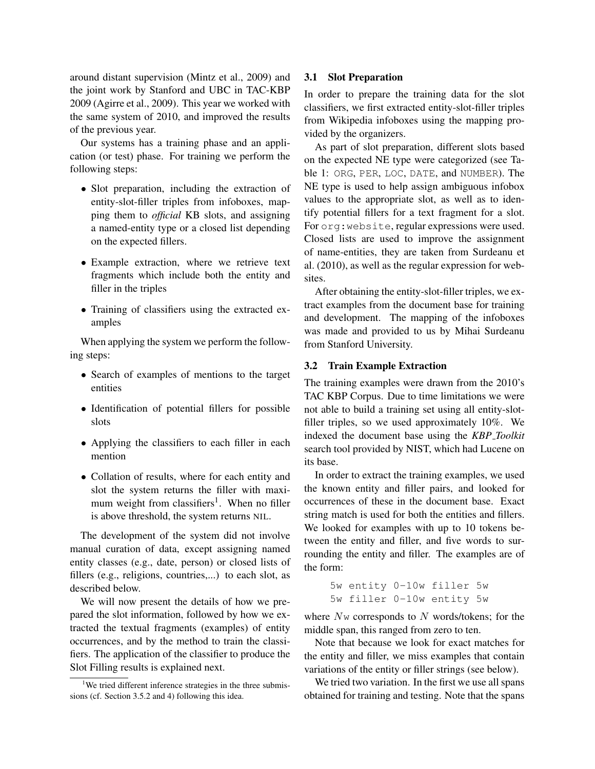around distant supervision (Mintz et al., 2009) and the joint work by Stanford and UBC in TAC-KBP 2009 (Agirre et al., 2009). This year we worked with the same system of 2010, and improved the results of the previous year.

Our systems has a training phase and an application (or test) phase. For training we perform the following steps:

- Slot preparation, including the extraction of entity-slot-filler triples from infoboxes, mapping them to *official* KB slots, and assigning a named-entity type or a closed list depending on the expected fillers.
- Example extraction, where we retrieve text fragments which include both the entity and filler in the triples
- Training of classifiers using the extracted examples

When applying the system we perform the following steps:

- Search of examples of mentions to the target entities
- Identification of potential fillers for possible slots
- Applying the classifiers to each filler in each mention
- Collation of results, where for each entity and slot the system returns the filler with maximum weight from classifiers<sup>1</sup>. When no filler is above threshold, the system returns NIL.

The development of the system did not involve manual curation of data, except assigning named entity classes (e.g., date, person) or closed lists of fillers (e.g., religions, countries,...) to each slot, as described below.

We will now present the details of how we prepared the slot information, followed by how we extracted the textual fragments (examples) of entity occurrences, and by the method to train the classifiers. The application of the classifier to produce the Slot Filling results is explained next.

#### 3.1 Slot Preparation

In order to prepare the training data for the slot classifiers, we first extracted entity-slot-filler triples from Wikipedia infoboxes using the mapping provided by the organizers.

As part of slot preparation, different slots based on the expected NE type were categorized (see Table 1: ORG, PER, LOC, DATE, and NUMBER). The NE type is used to help assign ambiguous infobox values to the appropriate slot, as well as to identify potential fillers for a text fragment for a slot. For org:website, regular expressions were used. Closed lists are used to improve the assignment of name-entities, they are taken from Surdeanu et al. (2010), as well as the regular expression for websites.

After obtaining the entity-slot-filler triples, we extract examples from the document base for training and development. The mapping of the infoboxes was made and provided to us by Mihai Surdeanu from Stanford University.

#### 3.2 Train Example Extraction

The training examples were drawn from the 2010's TAC KBP Corpus. Due to time limitations we were not able to build a training set using all entity-slotfiller triples, so we used approximately 10%. We indexed the document base using the *KBP Toolkit* search tool provided by NIST, which had Lucene on its base.

In order to extract the training examples, we used the known entity and filler pairs, and looked for occurrences of these in the document base. Exact string match is used for both the entities and fillers. We looked for examples with up to 10 tokens between the entity and filler, and five words to surrounding the entity and filler. The examples are of the form:

> 5w entity 0-10w filler 5w 5w filler 0-10w entity 5w

where  $N<sub>w</sub>$  corresponds to N words/tokens; for the middle span, this ranged from zero to ten.

Note that because we look for exact matches for the entity and filler, we miss examples that contain variations of the entity or filler strings (see below).

We tried two variation. In the first we use all spans obtained for training and testing. Note that the spans

<sup>&</sup>lt;sup>1</sup>We tried different inference strategies in the three submissions (cf. Section 3.5.2 and 4) following this idea.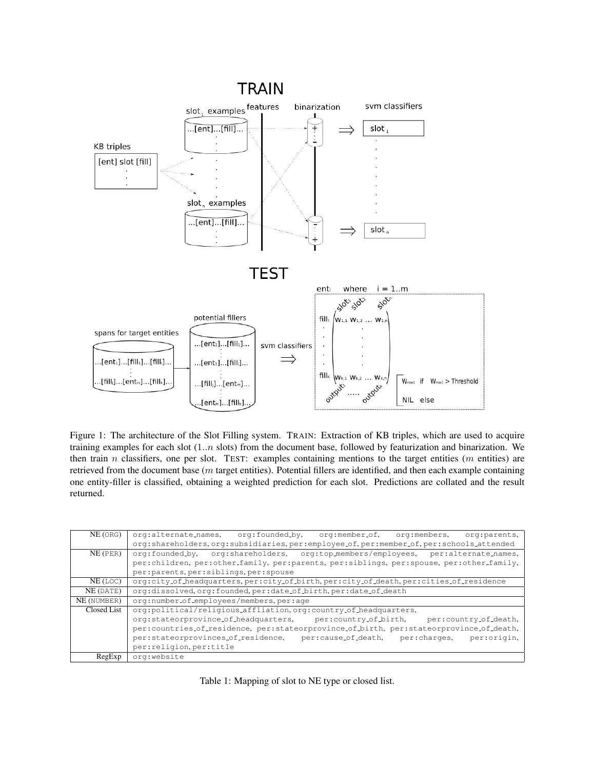

Figure 1: The architecture of the Slot Filling system. TRAIN: Extraction of KB triples, which are used to acquire training examples for each slot (1..n slots) from the document base, followed by featurization and binarization. We then train n classifiers, one per slot. TEST: examples containing mentions to the target entities (m entities) are retrieved from the document base (m target entities). Potential fillers are identified, and then each example containing one entity-filler is classified, obtaining a weighted prediction for each slot. Predictions are collated and the result returned.

| NE(ORG)     | org:alternate_names, org:founded_by, org:member_of, org:members,<br>org:parents,         |  |  |  |  |  |
|-------------|------------------------------------------------------------------------------------------|--|--|--|--|--|
|             | org:shareholders.org:subsidiaries.per:employee_of.per:member_of.per:schools_attended     |  |  |  |  |  |
| $NE$ (PER)  | org:shareholders, org:top_members/employees, per:alternate_names,<br>org:founded_by,     |  |  |  |  |  |
|             | per:children, per:other_family, per:parents, per:siblings, per:spouse, per:other_family, |  |  |  |  |  |
|             | per: parents, per: siblings, per: spouse                                                 |  |  |  |  |  |
| NE (LOC)    | org:city_of_headquarters,per:city_of_birth,per:city_of_death,per:cities_of_residence     |  |  |  |  |  |
| NE (DATE)   | org:dissolved.org:founded.per:date_of_birth.per:date_of_death                            |  |  |  |  |  |
| NE (NUMBER) | org:number_of_employees/members.per:age                                                  |  |  |  |  |  |
| Closed List | org:political/religious_affliation.org:country_of_headquarters.                          |  |  |  |  |  |
|             | org:stateorprovince_of_headquarters, per:country_of_birth,<br>per:country_of_death,      |  |  |  |  |  |
|             | per:countries_of_residence, per:stateorprovince_of_birth, per:stateorprovince_of_death,  |  |  |  |  |  |
|             | per:stateorprovinces_of_residence,<br>per:cause_of_death, per:charges,<br>per:origin,    |  |  |  |  |  |
|             | per: religion, per: title                                                                |  |  |  |  |  |
| RegExp      | org:website                                                                              |  |  |  |  |  |

Table 1: Mapping of slot to NE type or closed list.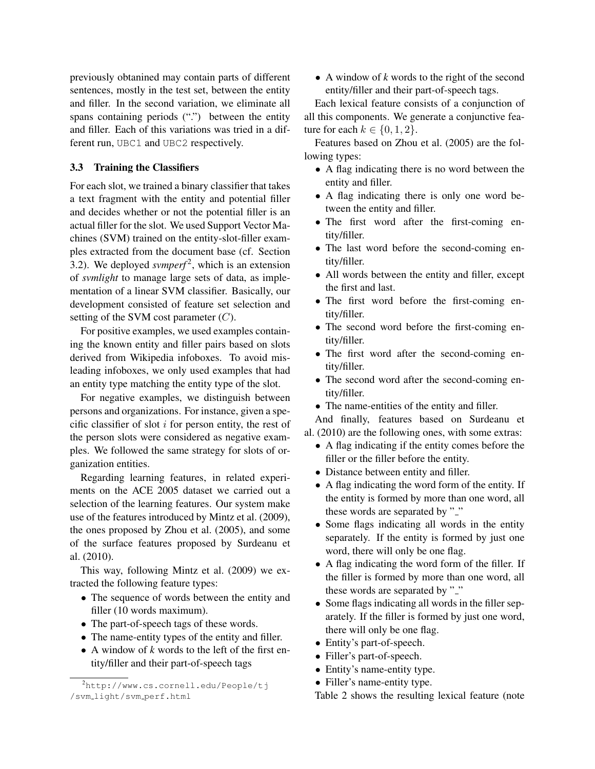previously obtanined may contain parts of different sentences, mostly in the test set, between the entity and filler. In the second variation, we eliminate all spans containing periods (".") between the entity and filler. Each of this variations was tried in a different run, UBC1 and UBC2 respectively.

#### 3.3 Training the Classifiers

For each slot, we trained a binary classifier that takes a text fragment with the entity and potential filler and decides whether or not the potential filler is an actual filler for the slot. We used Support Vector Machines (SVM) trained on the entity-slot-filler examples extracted from the document base (cf. Section 3.2). We deployed *svmperf*<sup>2</sup>, which is an extension of *svmlight* to manage large sets of data, as implementation of a linear SVM classifier. Basically, our development consisted of feature set selection and setting of the SVM cost parameter  $(C)$ .

For positive examples, we used examples containing the known entity and filler pairs based on slots derived from Wikipedia infoboxes. To avoid misleading infoboxes, we only used examples that had an entity type matching the entity type of the slot.

For negative examples, we distinguish between persons and organizations. For instance, given a specific classifier of slot  $i$  for person entity, the rest of the person slots were considered as negative examples. We followed the same strategy for slots of organization entities.

Regarding learning features, in related experiments on the ACE 2005 dataset we carried out a selection of the learning features. Our system make use of the features introduced by Mintz et al. (2009), the ones proposed by Zhou et al. (2005), and some of the surface features proposed by Surdeanu et al. (2010).

This way, following Mintz et al. (2009) we extracted the following feature types:

- The sequence of words between the entity and filler (10 words maximum).
- The part-of-speech tags of these words.
- The name-entity types of the entity and filler.
- A window of *k* words to the left of the first entity/filler and their part-of-speech tags

• A window of *k* words to the right of the second entity/filler and their part-of-speech tags.

Each lexical feature consists of a conjunction of all this components. We generate a conjunctive feature for each  $k \in \{0, 1, 2\}$ .

Features based on Zhou et al. (2005) are the following types:

- A flag indicating there is no word between the entity and filler.
- A flag indicating there is only one word between the entity and filler.
- The first word after the first-coming entity/filler.
- The last word before the second-coming entity/filler.
- All words between the entity and filler, except the first and last.
- The first word before the first-coming entity/filler.
- The second word before the first-coming entity/filler.
- The first word after the second-coming entity/filler.
- The second word after the second-coming entity/filler.
- The name-entities of the entity and filler.

And finally, features based on Surdeanu et al. (2010) are the following ones, with some extras:

- A flag indicating if the entity comes before the filler or the filler before the entity.
- Distance between entity and filler.
- A flag indicating the word form of the entity. If the entity is formed by more than one word, all these words are separated by "..."
- Some flags indicating all words in the entity separately. If the entity is formed by just one word, there will only be one flag.
- A flag indicating the word form of the filler. If the filler is formed by more than one word, all these words are separated by "..."
- Some flags indicating all words in the filler separately. If the filler is formed by just one word, there will only be one flag.
- Entity's part-of-speech.
- Filler's part-of-speech.
- Entity's name-entity type.
- Filler's name-entity type.

Table 2 shows the resulting lexical feature (note

<sup>2</sup>http://www.cs.cornell.edu/People/tj /svm light/svm perf.html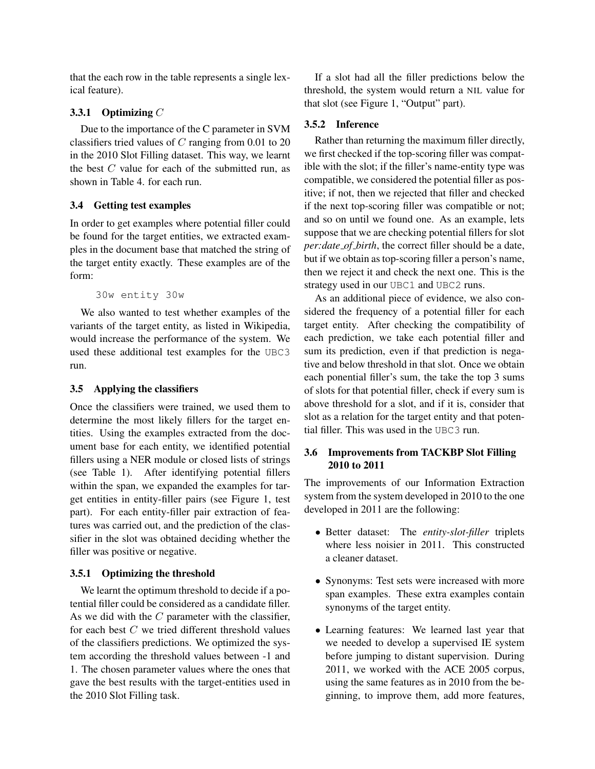that the each row in the table represents a single lexical feature).

### 3.3.1 Optimizing  $C$

Due to the importance of the C parameter in SVM classifiers tried values of  $C$  ranging from 0.01 to 20 in the 2010 Slot Filling dataset. This way, we learnt the best  $C$  value for each of the submitted run, as shown in Table 4. for each run.

# 3.4 Getting test examples

In order to get examples where potential filler could be found for the target entities, we extracted examples in the document base that matched the string of the target entity exactly. These examples are of the form:

30w entity 30w

We also wanted to test whether examples of the variants of the target entity, as listed in Wikipedia, would increase the performance of the system. We used these additional test examples for the UBC3 run.

### 3.5 Applying the classifiers

Once the classifiers were trained, we used them to determine the most likely fillers for the target entities. Using the examples extracted from the document base for each entity, we identified potential fillers using a NER module or closed lists of strings (see Table 1). After identifying potential fillers within the span, we expanded the examples for target entities in entity-filler pairs (see Figure 1, test part). For each entity-filler pair extraction of features was carried out, and the prediction of the classifier in the slot was obtained deciding whether the filler was positive or negative.

# 3.5.1 Optimizing the threshold

We learnt the optimum threshold to decide if a potential filler could be considered as a candidate filler. As we did with the  $C$  parameter with the classifier, for each best  $C$  we tried different threshold values of the classifiers predictions. We optimized the system according the threshold values between -1 and 1. The chosen parameter values where the ones that gave the best results with the target-entities used in the 2010 Slot Filling task.

If a slot had all the filler predictions below the threshold, the system would return a NIL value for that slot (see Figure 1, "Output" part).

# 3.5.2 Inference

Rather than returning the maximum filler directly, we first checked if the top-scoring filler was compatible with the slot; if the filler's name-entity type was compatible, we considered the potential filler as positive; if not, then we rejected that filler and checked if the next top-scoring filler was compatible or not; and so on until we found one. As an example, lets suppose that we are checking potential fillers for slot *per:date of birth*, the correct filler should be a date, but if we obtain as top-scoring filler a person's name, then we reject it and check the next one. This is the strategy used in our UBC1 and UBC2 runs.

As an additional piece of evidence, we also considered the frequency of a potential filler for each target entity. After checking the compatibility of each prediction, we take each potential filler and sum its prediction, even if that prediction is negative and below threshold in that slot. Once we obtain each ponential filler's sum, the take the top 3 sums of slots for that potential filler, check if every sum is above threshold for a slot, and if it is, consider that slot as a relation for the target entity and that potential filler. This was used in the UBC3 run.

# 3.6 Improvements from TACKBP Slot Filling 2010 to 2011

The improvements of our Information Extraction system from the system developed in 2010 to the one developed in 2011 are the following:

- Better dataset: The *entity-slot-filler* triplets where less noisier in 2011. This constructed a cleaner dataset.
- Synonyms: Test sets were increased with more span examples. These extra examples contain synonyms of the target entity.
- Learning features: We learned last year that we needed to develop a supervised IE system before jumping to distant supervision. During 2011, we worked with the ACE 2005 corpus, using the same features as in 2010 from the beginning, to improve them, add more features,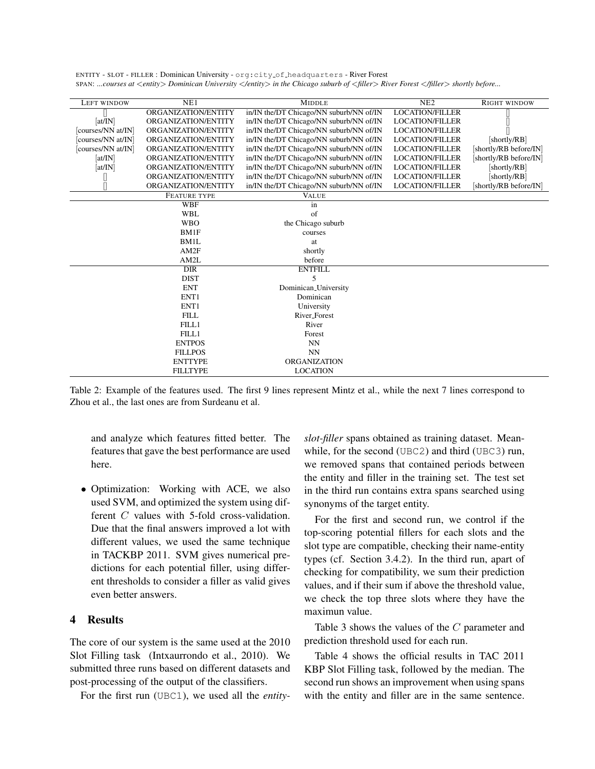ENTITY - SLOT - FILLER : Dominican University - org:city of headquarters - River Forest SPAN: *...courses at* <*entity*> *Dominican University* <*/entity*> *in the Chicago suburb of* <*filler*> *River Forest* <*/filler*> *shortly before...*

| NE1<br>NE2<br><b>RIGHT WINDOW</b><br><b>MIDDLE</b><br><b>LEFT WINDOW</b><br>ORGANIZATION/ENTITY<br>in/IN the/DT Chicago/NN suburb/NN of/IN<br><b>LOCATION/FILLER</b><br>[at/IN]<br>in/IN the/DT Chicago/NN suburb/NN of/IN<br>ORGANIZATION/ENTITY<br><b>LOCATION/FILLER</b><br>[courses/NN at/IN]<br>in/IN the/DT Chicago/NN suburb/NN of/IN<br><b>LOCATION/FILLER</b><br>ORGANIZATION/ENTITY<br>[courses/NN at/IN]<br>in/IN the/DT Chicago/NN suburb/NN of/IN<br>ORGANIZATION/ENTITY<br><b>LOCATION/FILLER</b><br>[shortly/RB]<br>[courses/NN at/IN]<br>ORGANIZATION/ENTITY<br>in/IN the/DT Chicago/NN suburb/NN of/IN<br><b>LOCATION/FILLER</b><br>[shortly/RB before/IN]<br>in/IN the/DT Chicago/NN suburb/NN of/IN<br>[shortly/RB before/IN]<br>[at/IN]<br>ORGANIZATION/ENTITY<br><b>LOCATION/FILLER</b><br>in/IN the/DT Chicago/NN suburb/NN of/IN<br>[at/IN]<br>ORGANIZATION/ENTITY<br><b>LOCATION/FILLER</b><br>[shortly/RB]<br>in/IN the/DT Chicago/NN suburb/NN of/IN<br>ORGANIZATION/ENTITY<br><b>LOCATION/FILLER</b><br>[shortly/RB]<br>in/IN the/DT Chicago/NN suburb/NN of/IN<br>ORGANIZATION/ENTITY<br><b>LOCATION/FILLER</b><br>[shortly/RB before/IN] |  |
|-----------------------------------------------------------------------------------------------------------------------------------------------------------------------------------------------------------------------------------------------------------------------------------------------------------------------------------------------------------------------------------------------------------------------------------------------------------------------------------------------------------------------------------------------------------------------------------------------------------------------------------------------------------------------------------------------------------------------------------------------------------------------------------------------------------------------------------------------------------------------------------------------------------------------------------------------------------------------------------------------------------------------------------------------------------------------------------------------------------------------------------------------------------------------|--|
|                                                                                                                                                                                                                                                                                                                                                                                                                                                                                                                                                                                                                                                                                                                                                                                                                                                                                                                                                                                                                                                                                                                                                                       |  |
|                                                                                                                                                                                                                                                                                                                                                                                                                                                                                                                                                                                                                                                                                                                                                                                                                                                                                                                                                                                                                                                                                                                                                                       |  |
|                                                                                                                                                                                                                                                                                                                                                                                                                                                                                                                                                                                                                                                                                                                                                                                                                                                                                                                                                                                                                                                                                                                                                                       |  |
|                                                                                                                                                                                                                                                                                                                                                                                                                                                                                                                                                                                                                                                                                                                                                                                                                                                                                                                                                                                                                                                                                                                                                                       |  |
|                                                                                                                                                                                                                                                                                                                                                                                                                                                                                                                                                                                                                                                                                                                                                                                                                                                                                                                                                                                                                                                                                                                                                                       |  |
|                                                                                                                                                                                                                                                                                                                                                                                                                                                                                                                                                                                                                                                                                                                                                                                                                                                                                                                                                                                                                                                                                                                                                                       |  |
|                                                                                                                                                                                                                                                                                                                                                                                                                                                                                                                                                                                                                                                                                                                                                                                                                                                                                                                                                                                                                                                                                                                                                                       |  |
|                                                                                                                                                                                                                                                                                                                                                                                                                                                                                                                                                                                                                                                                                                                                                                                                                                                                                                                                                                                                                                                                                                                                                                       |  |
|                                                                                                                                                                                                                                                                                                                                                                                                                                                                                                                                                                                                                                                                                                                                                                                                                                                                                                                                                                                                                                                                                                                                                                       |  |
|                                                                                                                                                                                                                                                                                                                                                                                                                                                                                                                                                                                                                                                                                                                                                                                                                                                                                                                                                                                                                                                                                                                                                                       |  |
| <b>VALUE</b><br><b>FEATURE TYPE</b>                                                                                                                                                                                                                                                                                                                                                                                                                                                                                                                                                                                                                                                                                                                                                                                                                                                                                                                                                                                                                                                                                                                                   |  |
| <b>WBF</b><br>in                                                                                                                                                                                                                                                                                                                                                                                                                                                                                                                                                                                                                                                                                                                                                                                                                                                                                                                                                                                                                                                                                                                                                      |  |
| of<br><b>WBL</b>                                                                                                                                                                                                                                                                                                                                                                                                                                                                                                                                                                                                                                                                                                                                                                                                                                                                                                                                                                                                                                                                                                                                                      |  |
| <b>WBO</b><br>the Chicago suburb                                                                                                                                                                                                                                                                                                                                                                                                                                                                                                                                                                                                                                                                                                                                                                                                                                                                                                                                                                                                                                                                                                                                      |  |
| BM1F<br>courses                                                                                                                                                                                                                                                                                                                                                                                                                                                                                                                                                                                                                                                                                                                                                                                                                                                                                                                                                                                                                                                                                                                                                       |  |
| BM1L<br>at                                                                                                                                                                                                                                                                                                                                                                                                                                                                                                                                                                                                                                                                                                                                                                                                                                                                                                                                                                                                                                                                                                                                                            |  |
| AM2F<br>shortly                                                                                                                                                                                                                                                                                                                                                                                                                                                                                                                                                                                                                                                                                                                                                                                                                                                                                                                                                                                                                                                                                                                                                       |  |
| AM2L<br>before                                                                                                                                                                                                                                                                                                                                                                                                                                                                                                                                                                                                                                                                                                                                                                                                                                                                                                                                                                                                                                                                                                                                                        |  |
| <b>ENTFILL</b><br><b>DIR</b>                                                                                                                                                                                                                                                                                                                                                                                                                                                                                                                                                                                                                                                                                                                                                                                                                                                                                                                                                                                                                                                                                                                                          |  |
| <b>DIST</b><br>5                                                                                                                                                                                                                                                                                                                                                                                                                                                                                                                                                                                                                                                                                                                                                                                                                                                                                                                                                                                                                                                                                                                                                      |  |
| <b>ENT</b><br>Dominican_University                                                                                                                                                                                                                                                                                                                                                                                                                                                                                                                                                                                                                                                                                                                                                                                                                                                                                                                                                                                                                                                                                                                                    |  |
| ENT1<br>Dominican                                                                                                                                                                                                                                                                                                                                                                                                                                                                                                                                                                                                                                                                                                                                                                                                                                                                                                                                                                                                                                                                                                                                                     |  |
| ENT1<br>University                                                                                                                                                                                                                                                                                                                                                                                                                                                                                                                                                                                                                                                                                                                                                                                                                                                                                                                                                                                                                                                                                                                                                    |  |
| <b>FILL</b><br>River_Forest                                                                                                                                                                                                                                                                                                                                                                                                                                                                                                                                                                                                                                                                                                                                                                                                                                                                                                                                                                                                                                                                                                                                           |  |
| FILL1<br>River                                                                                                                                                                                                                                                                                                                                                                                                                                                                                                                                                                                                                                                                                                                                                                                                                                                                                                                                                                                                                                                                                                                                                        |  |
| FILL1<br>Forest                                                                                                                                                                                                                                                                                                                                                                                                                                                                                                                                                                                                                                                                                                                                                                                                                                                                                                                                                                                                                                                                                                                                                       |  |
| <b>ENTPOS</b><br><b>NN</b>                                                                                                                                                                                                                                                                                                                                                                                                                                                                                                                                                                                                                                                                                                                                                                                                                                                                                                                                                                                                                                                                                                                                            |  |
| <b>NN</b><br><b>FILLPOS</b>                                                                                                                                                                                                                                                                                                                                                                                                                                                                                                                                                                                                                                                                                                                                                                                                                                                                                                                                                                                                                                                                                                                                           |  |
| <b>ORGANIZATION</b><br><b>ENTTYPE</b>                                                                                                                                                                                                                                                                                                                                                                                                                                                                                                                                                                                                                                                                                                                                                                                                                                                                                                                                                                                                                                                                                                                                 |  |
| <b>LOCATION</b><br><b>FILLTYPE</b>                                                                                                                                                                                                                                                                                                                                                                                                                                                                                                                                                                                                                                                                                                                                                                                                                                                                                                                                                                                                                                                                                                                                    |  |

Table 2: Example of the features used. The first 9 lines represent Mintz et al., while the next 7 lines correspond to Zhou et al., the last ones are from Surdeanu et al.

and analyze which features fitted better. The features that gave the best performance are used here.

• Optimization: Working with ACE, we also used SVM, and optimized the system using different C values with 5-fold cross-validation. Due that the final answers improved a lot with different values, we used the same technique in TACKBP 2011. SVM gives numerical predictions for each potential filler, using different thresholds to consider a filler as valid gives even better answers.

### 4 Results

The core of our system is the same used at the 2010 Slot Filling task (Intxaurrondo et al., 2010). We submitted three runs based on different datasets and post-processing of the output of the classifiers.

For the first run (UBC1), we used all the *entity-*

*slot-filler* spans obtained as training dataset. Meanwhile, for the second (UBC2) and third (UBC3) run, we removed spans that contained periods between the entity and filler in the training set. The test set in the third run contains extra spans searched using synonyms of the target entity.

For the first and second run, we control if the top-scoring potential fillers for each slots and the slot type are compatible, checking their name-entity types (cf. Section 3.4.2). In the third run, apart of checking for compatibility, we sum their prediction values, and if their sum if above the threshold value, we check the top three slots where they have the maximun value.

Table 3 shows the values of the C parameter and prediction threshold used for each run.

Table 4 shows the official results in TAC 2011 KBP Slot Filling task, followed by the median. The second run shows an improvement when using spans with the entity and filler are in the same sentence.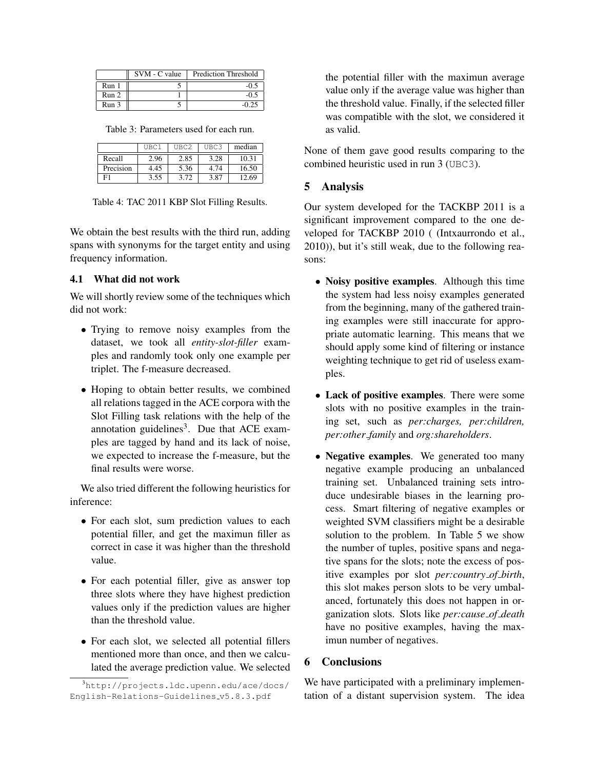|       | SVM - C value | Prediction Threshold |
|-------|---------------|----------------------|
| Run 1 |               |                      |
| Run 2 |               |                      |
| Run 3 |               |                      |

Table 3: Parameters used for each run.

|           | UBC1 | UBC2 | UBC3 | median |
|-----------|------|------|------|--------|
| Recall    | 2.96 | 2.85 | 3.28 | 10.31  |
| Precision | 4.45 | 5.36 | 4 74 | 16.50  |
|           | 3.55 | 3.72 | 3.87 | 12.69  |

Table 4: TAC 2011 KBP Slot Filling Results.

We obtain the best results with the third run, adding spans with synonyms for the target entity and using frequency information.

#### 4.1 What did not work

We will shortly review some of the techniques which did not work:

- Trying to remove noisy examples from the dataset, we took all *entity-slot-filler* examples and randomly took only one example per triplet. The f-measure decreased.
- Hoping to obtain better results, we combined all relations tagged in the ACE corpora with the Slot Filling task relations with the help of the annotation guidelines<sup>3</sup>. Due that ACE examples are tagged by hand and its lack of noise, we expected to increase the f-measure, but the final results were worse.

We also tried different the following heuristics for inference:

- For each slot, sum prediction values to each potential filler, and get the maximun filler as correct in case it was higher than the threshold value.
- For each potential filler, give as answer top three slots where they have highest prediction values only if the prediction values are higher than the threshold value.
- For each slot, we selected all potential fillers mentioned more than once, and then we calculated the average prediction value. We selected

the potential filler with the maximun average value only if the average value was higher than the threshold value. Finally, if the selected filler was compatible with the slot, we considered it as valid.

None of them gave good results comparing to the combined heuristic used in run 3 (UBC3).

#### 5 Analysis

Our system developed for the TACKBP 2011 is a significant improvement compared to the one developed for TACKBP 2010 ( (Intxaurrondo et al., 2010)), but it's still weak, due to the following reasons:

- Noisy positive examples. Although this time the system had less noisy examples generated from the beginning, many of the gathered training examples were still inaccurate for appropriate automatic learning. This means that we should apply some kind of filtering or instance weighting technique to get rid of useless examples.
- Lack of positive examples. There were some slots with no positive examples in the training set, such as *per:charges, per:children, per:other family* and *org:shareholders*.
- Negative examples. We generated too many negative example producing an unbalanced training set. Unbalanced training sets introduce undesirable biases in the learning process. Smart filtering of negative examples or weighted SVM classifiers might be a desirable solution to the problem. In Table 5 we show the number of tuples, positive spans and negative spans for the slots; note the excess of positive examples por slot *per:country of birth*, this slot makes person slots to be very umbalanced, fortunately this does not happen in organization slots. Slots like *per:cause of death* have no positive examples, having the maximun number of negatives.

### 6 Conclusions

We have participated with a preliminary implementation of a distant supervision system. The idea

<sup>3</sup>http://projects.ldc.upenn.edu/ace/docs/ English-Relations-Guidelines v5.8.3.pdf